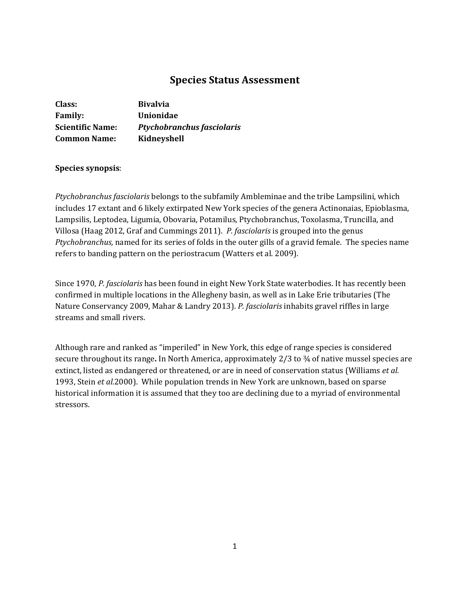# **Species Status Assessment**

| Class:                  | <b>Bivalvia</b>                   |
|-------------------------|-----------------------------------|
| <b>Family:</b>          | Unionidae                         |
| <b>Scientific Name:</b> | <b>Ptychobranchus fasciolaris</b> |
| <b>Common Name:</b>     | Kidneyshell                       |

# **Species synopsis**:

*Ptychobranchus fasciolaris* belongs to the subfamily Ambleminae and the tribe Lampsilini, which includes 17 extant and 6 likely extirpated New York species of the genera Actinonaias, Epioblasma, Lampsilis, Leptodea, Ligumia, Obovaria, Potamilus, Ptychobranchus, Toxolasma, Truncilla, and Villosa (Haag 2012, Graf and Cummings 2011).*P. fasciolaris* is grouped into the genus *Ptychobranchus,* named for its series of folds in the outer gills of a gravid female. The species name refers to banding pattern on the periostracum (Watters et al. 2009).

Since 1970, *P. fasciolaris* has been found in eight New York State waterbodies. It has recently been confirmed in multiple locations in the Allegheny basin, as well as in Lake Erie tributaries (The Nature Conservancy 2009, Mahar & Landry 2013). *P. fasciolaris* inhabits gravel riffles in large streams and small rivers.

Although rare and ranked as "imperiled" in New York, this edge of range species is considered secure throughout its range**.** In North America, approximately 2/3 to ¾ of native mussel species are extinct, listed as endangered or threatened, or are in need of conservation status (Williams *et al.*  1993, Stein *et al.*2000). While population trends in New York are unknown, based on sparse historical information it is assumed that they too are declining due to a myriad of environmental stressors.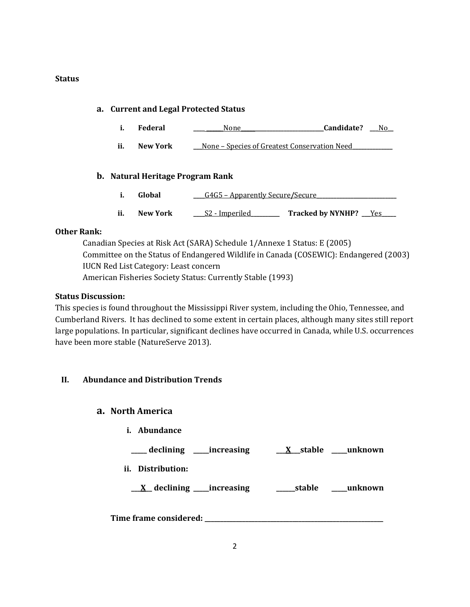### **Status**

# **a. Current and Legal Protected Status**

- **i. Federal \_\_\_\_ \_\_\_\_\_**\_None**\_\_\_\_\_\_\_\_\_\_\_\_\_\_\_\_\_\_\_\_\_\_\_\_\_\_\_\_\_Candidate? \_\_\_**No**\_\_**
- **ii. New York \_\_\_**None Species of Greatest Conservation Need**\_\_\_\_\_\_\_\_\_\_\_\_\_\_**

### **b. Natural Heritage Program Rank**

- **i. Global** <u>\_\_\_\_G4G5 Apparently Secure/Secure</u>
- ii. New York <u>S2 Imperiled</u> Tracked by NYNHP? Yes

## **Other Rank:**

Canadian Species at Risk Act (SARA) Schedule 1/Annexe 1 Status: E (2005) Committee on the Status of Endangered Wildlife in Canada (COSEWIC): Endangered (2003) IUCN Red List Category: Least concern American Fisheries Society Status: Currently Stable (1993)

### **Status Discussion:**

This species is found throughout the Mississippi River system, including the Ohio, Tennessee, and Cumberland Rivers. It has declined to some extent in certain places, although many sites still report large populations. In particular, significant declines have occurred in Canada, while U.S. occurrences have been more stable (NatureServe 2013).

### **II. Abundance and Distribution Trends**

### **a. North America**

**i. Abundance**

**\_\_\_\_\_ declining \_\_\_\_\_increasing \_\_\_X\_\_\_stable \_\_\_\_\_unknown**

**ii. Distribution:**

**\_\_\_X\_\_ declining \_\_\_\_\_increasing \_\_\_\_\_\_stable \_\_\_\_\_unknown**

**Time frame considered: \_\_\_\_\_\_\_\_\_\_\_\_\_\_\_\_\_\_\_\_\_\_\_\_\_\_\_\_\_\_\_\_\_\_\_\_\_\_\_\_\_\_\_\_\_\_\_\_\_\_\_\_\_\_\_\_\_**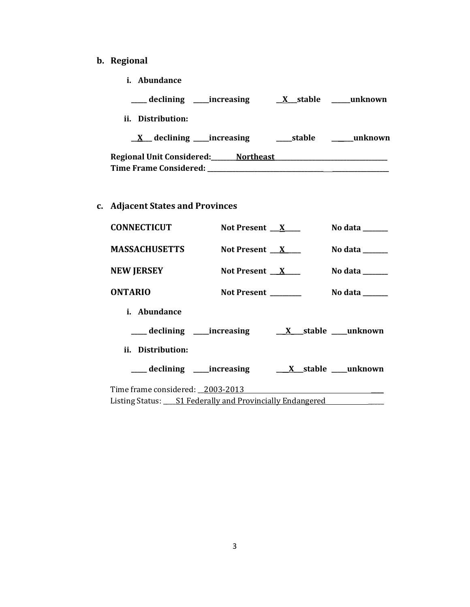# **b. Regional**

**i. Abundance**

| declining _____increasing                  | X stable | unknown  |
|--------------------------------------------|----------|----------|
| ii. Distribution:                          |          |          |
| $\underline{X}$ declining _____ increasing | stable   | _unknown |
| Regional Unit Considered: Northeast        |          |          |
| <b>Time Frame Considered:</b>              |          |          |

**c. Adjacent States and Provinces**

| <b>CONNECTICUT</b>                                           | Not Present $X$                                                   | No data ______                      |
|--------------------------------------------------------------|-------------------------------------------------------------------|-------------------------------------|
| <b>MASSACHUSETTS</b>                                         | Not Present $X$                                                   | No data $\_\_\_\_\_\_\_\_\_\_\_\_\$ |
| <b>NEW JERSEY</b>                                            | Not Present $X$                                                   | No data $\_\_\_\_\_\_\_\_\_\_\_\_\$ |
| <b>ONTARIO</b>                                               | Not Present ________                                              | No data $\_\_$                      |
| <i>i.</i> Abundance                                          |                                                                   |                                     |
|                                                              |                                                                   |                                     |
| ii. Distribution:                                            |                                                                   |                                     |
|                                                              | ____ declining _____ increasing ________ X___ stable ____ unknown |                                     |
| Time frame considered: _2003-2013                            |                                                                   |                                     |
| Listing Status: ___ S1 Federally and Provincially Endangered |                                                                   |                                     |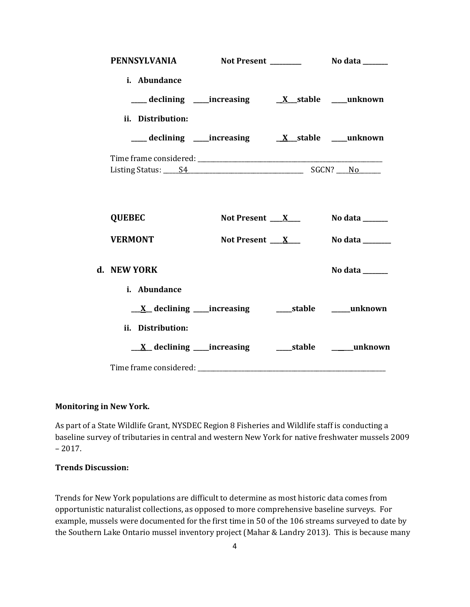| <b>PENNSYLVANIA</b>             |                                                                        |                                 |
|---------------------------------|------------------------------------------------------------------------|---------------------------------|
| i. Abundance                    | ___ declining ___ increasing ___ __ __ __ __ __ __ __ __ __ __ unknown |                                 |
| ii. Distribution:               |                                                                        |                                 |
|                                 |                                                                        |                                 |
| <b>QUEBEC</b><br><b>VERMONT</b> | Not Present $X_{-}$<br>Not Present $X$                                 | No data ______<br>No data       |
| d. NEW YORK<br>i. Abundance     |                                                                        | No data ______                  |
| ii. Distribution:               |                                                                        |                                 |
|                                 | $\underline{X}$ declining ____increasing                               | ______stable ___________unknown |

### **Monitoring in New York.**

As part of a State Wildlife Grant, NYSDEC Region 8 Fisheries and Wildlife staff is conducting a baseline survey of tributaries in central and western New York for native freshwater mussels 2009  $-2017.$ 

### **Trends Discussion:**

Trends for New York populations are difficult to determine as most historic data comes from opportunistic naturalist collections, as opposed to more comprehensive baseline surveys. For example, mussels were documented for the first time in 50 of the 106 streams surveyed to date by the Southern Lake Ontario mussel inventory project (Mahar & Landry 2013). This is because many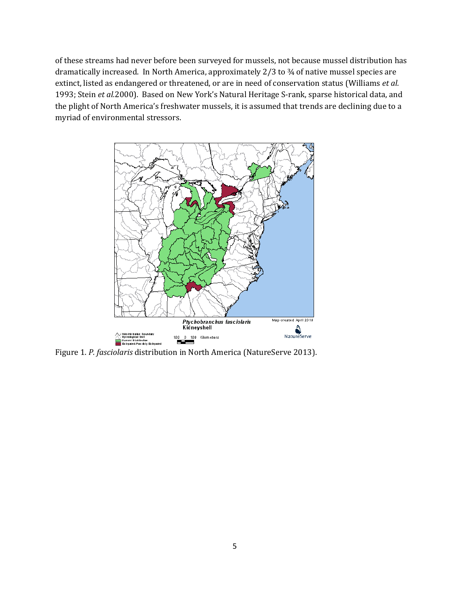of these streams had never before been surveyed for mussels, not because mussel distribution has dramatically increased. In North America, approximately 2/3 to 3⁄4 of native mussel species are extinct, listed as endangered or threatened, or are in need of conservation status (Williams *et al.*  1993; Stein *et al.*2000). Based on New York's Natural Heritage S-rank, sparse historical data, and the plight of North America's freshwater mussels, it is assumed that trends are declining due to a myriad of environmental stressors.



Figure 1. *P. fasciolaris* distribution in North America (NatureServe 2013).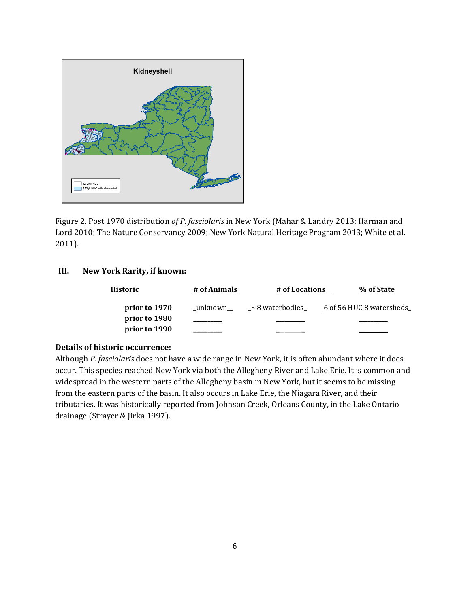

Figure 2. Post 1970 distribution *of P. fasciolaris* in New York (Mahar & Landry 2013; Harman and Lord 2010; The Nature Conservancy 2009; New York Natural Heritage Program 2013; White et al. 2011).

### **III. New York Rarity, if known:**

| Historic      | # of Animals | # of Locations       | % of State               |
|---------------|--------------|----------------------|--------------------------|
| prior to 1970 | unknown      | $\sim$ 8 waterbodies | 6 of 56 HUC 8 watersheds |
| prior to 1980 |              |                      |                          |
| prior to 1990 |              |                      |                          |

## **Details of historic occurrence:**

Although *P. fasciolaris* does not have a wide range in New York, it is often abundant where it does occur. This species reached New York via both the Allegheny River and Lake Erie. It is common and widespread in the western parts of the Allegheny basin in New York, but it seems to be missing from the eastern parts of the basin. It also occurs in Lake Erie, the Niagara River, and their tributaries. It was historically reported from Johnson Creek, Orleans County, in the Lake Ontario drainage (Strayer & Jirka 1997).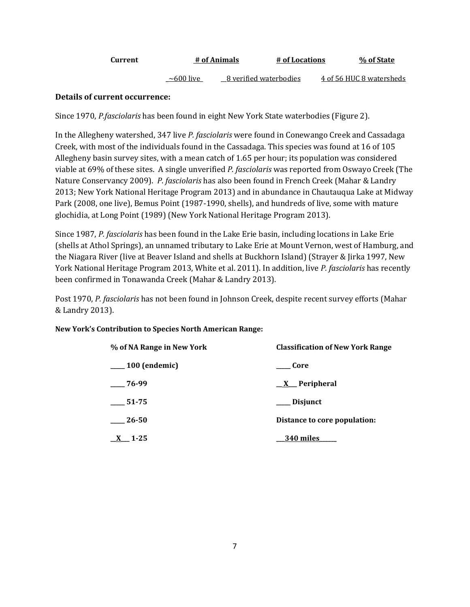| Current | # of Animals | # of Locations | % of State |
|---------|--------------|----------------|------------|
|         |              |                |            |

 $\sim$  600 live 8 verified waterbodies 4 of 56 HUC 8 watersheds

# **Details of current occurrence:**

Since 1970, *P.fasciolaris* has been found in eight New York State waterbodies (Figure 2).

In the Allegheny watershed, 347 live *P. fasciolaris* were found in Conewango Creek and Cassadaga Creek, with most of the individuals found in the Cassadaga. This species was found at 16 of 105 Allegheny basin survey sites, with a mean catch of 1.65 per hour; its population was considered viable at 69% of these sites. A single unverified *P. fasciolaris* was reported from Oswayo Creek (The Nature Conservancy 2009). *P. fasciolaris* has also been found in French Creek (Mahar & Landry 2013; New York National Heritage Program 2013) and in abundance in Chautauqua Lake at Midway Park (2008, one live), Bemus Point (1987-1990, shells), and hundreds of live, some with mature glochidia, at Long Point (1989) (New York National Heritage Program 2013).

Since 1987, *P. fasciolaris* has been found in the Lake Erie basin, including locations in Lake Erie (shells at Athol Springs), an unnamed tributary to Lake Erie at Mount Vernon, west of Hamburg, and the Niagara River (live at Beaver Island and shells at Buckhorn Island) (Strayer & Jirka 1997, New York National Heritage Program 2013, White et al. 2011). In addition, live *P. fasciolaris* has recently been confirmed in Tonawanda Creek (Mahar & Landry 2013).

Post 1970, *P. fasciolaris* has not been found in Johnson Creek, despite recent survey efforts (Mahar & Landry 2013).

### **New York's Contribution to Species North American Range:**

| % of NA Range in New York | <b>Classification of New York Range</b> |
|---------------------------|-----------------------------------------|
| $\sim$ 100 (endemic)      | Core                                    |
| $-76-99$                  | $X$ Peripheral                          |
| 51-75                     | Disjunct                                |
| 26-50                     | Distance to core population:            |
| 1-25                      | 340 miles                               |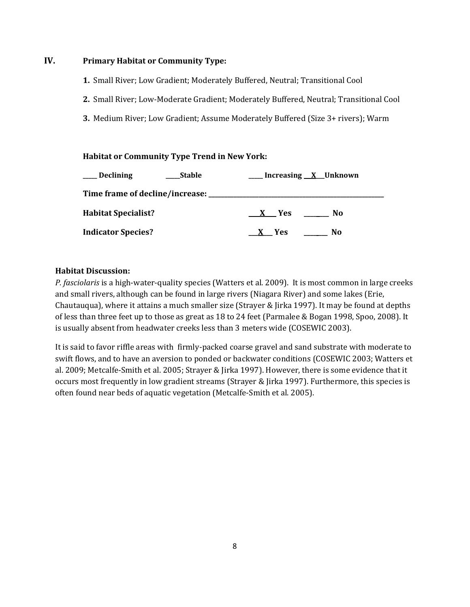# **IV. Primary Habitat or Community Type:**

- **1.** Small River; Low Gradient; Moderately Buffered, Neutral; Transitional Cool
- **2.** Small River; Low-Moderate Gradient; Moderately Buffered, Neutral; Transitional Cool
- **3.** Medium River; Low Gradient; Assume Moderately Buffered (Size 3+ rivers); Warm

### **Habitat or Community Type Trend in New York:**

| Declining                  | Stable | Increasing <u>X</u> Unknown |
|----------------------------|--------|-----------------------------|
|                            |        |                             |
| <b>Habitat Specialist?</b> | X Yes  | No.                         |
| <b>Indicator Species?</b>  | X Yes  | No                          |

### **Habitat Discussion:**

*P. fasciolaris* is a high-water-quality species (Watters et al. 2009). It is most common in large creeks and small rivers, although can be found in large rivers (Niagara River) and some lakes (Erie, Chautauqua), where it attains a much smaller size (Strayer & Jirka 1997). It may be found at depths of less than three feet up to those as great as 18 to 24 feet (Parmalee & Bogan 1998, Spoo, 2008). It is usually absent from headwater creeks less than 3 meters wide (COSEWIC 2003).

It is said to favor riffle areas with firmly-packed coarse gravel and sand substrate with moderate to swift flows, and to have an aversion to ponded or backwater conditions (COSEWIC 2003; Watters et al. 2009; Metcalfe-Smith et al. 2005; Strayer & Jirka 1997). However, there is some evidence that it occurs most frequently in low gradient streams (Strayer & Jirka 1997). Furthermore, this species is often found near beds of aquatic vegetation (Metcalfe-Smith et al. 2005).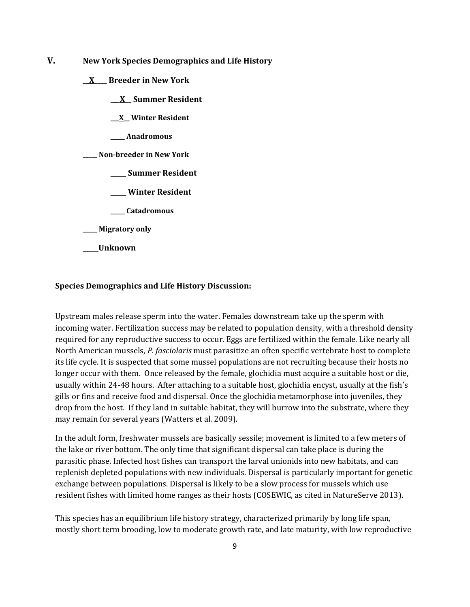- **V. New York Species Demographics and Life History**
	- **\_\_X\_\_\_\_ Breeder in New York**
		- **\_\_\_X\_\_ Summer Resident**
		- **\_\_\_X\_\_ Winter Resident**
		- **\_\_\_\_\_ Anadromous**
	- **\_\_\_\_\_ Non-breeder in New York**
		- **\_\_\_\_\_ Summer Resident**
		- **\_\_\_\_\_ Winter Resident**
		- **\_\_\_\_\_ Catadromous**
	- **\_\_\_\_\_ Migratory only**
	- **\_\_\_\_\_Unknown**

#### **Species Demographics and Life History Discussion:**

Upstream males release sperm into the water. Females downstream take up the sperm with incoming water. Fertilization success may be related to population density, with a threshold density required for any reproductive success to occur. Eggs are fertilized within the female. Like nearly all North American mussels, *P. fasciolaris* must parasitize an often specific vertebrate host to complete its life cycle. It is suspected that some mussel populations are not recruiting because their hosts no longer occur with them. Once released by the female, glochidia must acquire a suitable host or die, usually within 24-48 hours. After attaching to a suitable host, glochidia encyst, usually at the fish's gills or fins and receive food and dispersal. Once the glochidia metamorphose into juveniles, they drop from the host. If they land in suitable habitat, they will burrow into the substrate, where they may remain for several years (Watters et al. 2009).

In the adult form, freshwater mussels are basically sessile; movement is limited to a few meters of the lake or river bottom. The only time that significant dispersal can take place is during the parasitic phase. Infected host fishes can transport the larval unionids into new habitats, and can replenish depleted populations with new individuals. Dispersal is particularly important for genetic exchange between populations. Dispersal is likely to be a slow process for mussels which use resident fishes with limited home ranges as their hosts (COSEWIC, as cited in NatureServe 2013).

This species has an equilibrium life history strategy, characterized primarily by long life span, mostly short term brooding, low to moderate growth rate, and late maturity, with low reproductive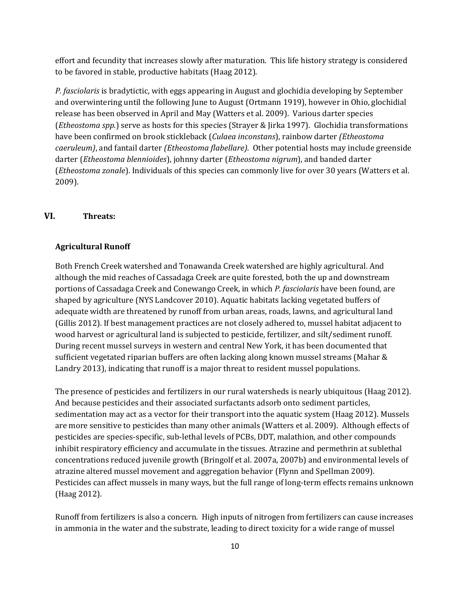effort and fecundity that increases slowly after maturation. This life history strategy is considered to be favored in stable, productive habitats (Haag 2012).

*P. fasciolaris* is bradytictic, with eggs appearing in August and glochidia developing by September and overwintering until the following June to August (Ortmann 1919), however in Ohio, glochidial release has been observed in April and May (Watters et al. 2009). Various darter species (*Etheostoma spp.*) serve as hosts for this species (Strayer & Jirka 1997). Glochidia transformations have been confirmed on brook stickleback (*Culaea inconstans*), rainbow darter *(Etheostoma caeruleum)*, and fantail darter *(Etheostoma flabellare)*. Other potential hosts may include greenside darter (*Etheostoma blennioides*), johnny darter (*Etheostoma nigrum*), and banded darter (*Etheostoma zonale*). Individuals of this species can commonly live for over 30 years (Watters et al. 2009).

# **VI. Threats:**

#### **Agricultural Runoff**

Both French Creek watershed and Tonawanda Creek watershed are highly agricultural. And although the mid reaches of Cassadaga Creek are quite forested, both the up and downstream portions of Cassadaga Creek and Conewango Creek, in which *P. fasciolaris* have been found, are shaped by agriculture (NYS Landcover 2010). Aquatic habitats lacking vegetated buffers of adequate width are threatened by runoff from urban areas, roads, lawns, and agricultural land (Gillis 2012). If best management practices are not closely adhered to, mussel habitat adjacent to wood harvest or agricultural land is subjected to pesticide, fertilizer, and silt/sediment runoff. During recent mussel surveys in western and central New York, it has been documented that sufficient vegetated riparian buffers are often lacking along known mussel streams (Mahar & Landry 2013), indicating that runoff is a major threat to resident mussel populations.

The presence of pesticides and fertilizers in our rural watersheds is nearly ubiquitous (Haag 2012). And because pesticides and their associated surfactants adsorb onto sediment particles, sedimentation may act as a vector for their transport into the aquatic system (Haag 2012). Mussels are more sensitive to pesticides than many other animals (Watters et al. 2009). Although effects of pesticides are species-specific, sub-lethal levels of PCBs, DDT, malathion, and other compounds inhibit respiratory efficiency and accumulate in the tissues. Atrazine and permethrin at sublethal concentrations reduced juvenile growth (Bringolf et al. 2007a, 2007b) and environmental levels of atrazine altered mussel movement and aggregation behavior (Flynn and Spellman 2009). Pesticides can affect mussels in many ways, but the full range of long-term effects remains unknown (Haag 2012).

Runoff from fertilizers is also a concern. High inputs of nitrogen from fertilizers can cause increases in ammonia in the water and the substrate, leading to direct toxicity for a wide range of mussel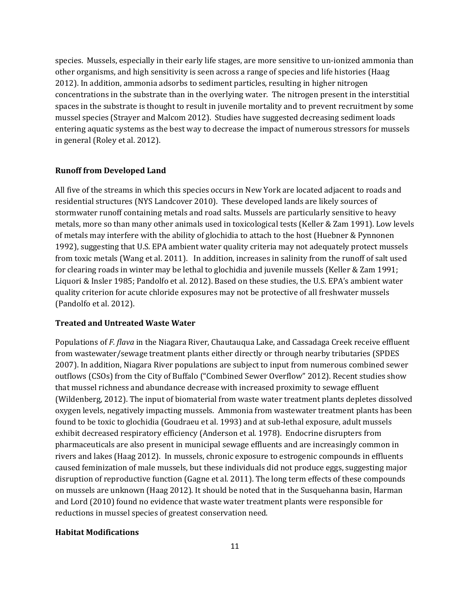species. Mussels, especially in their early life stages, are more sensitive to un-ionized ammonia than other organisms, and high sensitivity is seen across a range of species and life histories (Haag 2012). In addition, ammonia adsorbs to sediment particles, resulting in higher nitrogen concentrations in the substrate than in the overlying water. The nitrogen present in the interstitial spaces in the substrate is thought to result in juvenile mortality and to prevent recruitment by some mussel species (Strayer and Malcom 2012). Studies have suggested decreasing sediment loads entering aquatic systems as the best way to decrease the impact of numerous stressors for mussels in general (Roley et al. 2012).

#### **Runoff from Developed Land**

All five of the streams in which this species occurs in New York are located adjacent to roads and residential structures (NYS Landcover 2010). These developed lands are likely sources of stormwater runoff containing metals and road salts. Mussels are particularly sensitive to heavy metals, more so than many other animals used in toxicological tests (Keller & Zam 1991). Low levels of metals may interfere with the ability of glochidia to attach to the host (Huebner & Pynnonen 1992), suggesting that U.S. EPA ambient water quality criteria may not adequately protect mussels from toxic metals (Wang et al. 2011). In addition, increases in salinity from the runoff of salt used for clearing roads in winter may be lethal to glochidia and juvenile mussels (Keller & Zam 1991; Liquori & Insler 1985; Pandolfo et al. 2012). Based on these studies, the U.S. EPA's ambient water quality criterion for acute chloride exposures may not be protective of all freshwater mussels (Pandolfo et al. 2012).

#### **Treated and Untreated Waste Water**

Populations of *F. flava* in the Niagara River, Chautauqua Lake, and Cassadaga Creek receive effluent from wastewater/sewage treatment plants either directly or through nearby tributaries (SPDES 2007). In addition, Niagara River populations are subject to input from numerous combined sewer outflows (CSOs) from the City of Buffalo ("Combined Sewer Overflow" 2012). Recent studies show that mussel richness and abundance decrease with increased proximity to sewage effluent (Wildenberg, 2012). The input of biomaterial from waste water treatment plants depletes dissolved oxygen levels, negatively impacting mussels. Ammonia from wastewater treatment plants has been found to be toxic to glochidia (Goudraeu et al. 1993) and at sub-lethal exposure, adult mussels exhibit decreased respiratory efficiency (Anderson et al*.* 1978). Endocrine disrupters from pharmaceuticals are also present in municipal sewage effluents and are increasingly common in rivers and lakes (Haag 2012). In mussels, chronic exposure to estrogenic compounds in effluents caused feminization of male mussels, but these individuals did not produce eggs, suggesting major disruption of reproductive function (Gagne et al. 2011). The long term effects of these compounds on mussels are unknown (Haag 2012). It should be noted that in the Susquehanna basin, Harman and Lord (2010) found no evidence that waste water treatment plants were responsible for reductions in mussel species of greatest conservation need.

#### **Habitat Modifications**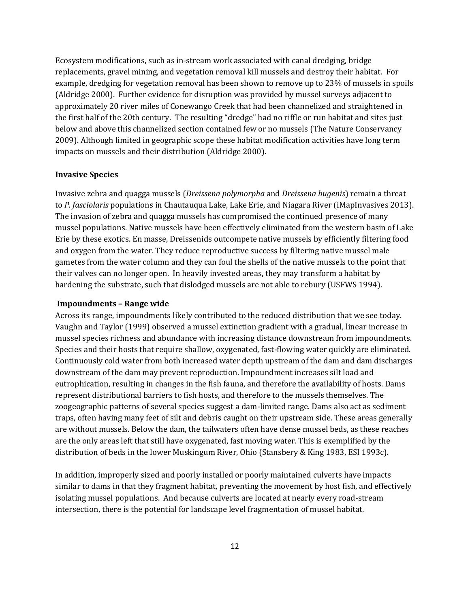Ecosystem modifications, such as in-stream work associated with canal dredging, bridge replacements, gravel mining, and vegetation removal kill mussels and destroy their habitat. For example, dredging for vegetation removal has been shown to remove up to 23% of mussels in spoils (Aldridge 2000). Further evidence for disruption was provided by mussel surveys adjacent to approximately 20 river miles of Conewango Creek that had been channelized and straightened in the first half of the 20th century. The resulting "dredge" had no riffle or run habitat and sites just below and above this channelized section contained few or no mussels (The Nature Conservancy 2009). Although limited in geographic scope these habitat modification activities have long term impacts on mussels and their distribution (Aldridge 2000).

#### **Invasive Species**

Invasive zebra and quagga mussels (*Dreissena polymorpha* and *Dreissena bugenis*) remain a threat to *P. fasciolaris* populations in Chautauqua Lake, Lake Erie, and Niagara River (iMapInvasives 2013). The invasion of zebra and quagga mussels has compromised the continued presence of many mussel populations. Native mussels have been effectively eliminated from the western basin of Lake Erie by these exotics. En masse, Dreissenids outcompete native mussels by efficiently filtering food and oxygen from the water. They reduce reproductive success by filtering native mussel male gametes from the water column and they can foul the shells of the native mussels to the point that their valves can no longer open. In heavily invested areas, they may transform a habitat by hardening the substrate, such that dislodged mussels are not able to rebury (USFWS 1994).

#### **Impoundments – Range wide**

Across its range, impoundments likely contributed to the reduced distribution that we see today. Vaughn and Taylor (1999) observed a mussel extinction gradient with a gradual, linear increase in mussel species richness and abundance with increasing distance downstream from impoundments. Species and their hosts that require shallow, oxygenated, fast-flowing water quickly are eliminated. Continuously cold water from both increased water depth upstream of the dam and dam discharges downstream of the dam may prevent reproduction. Impoundment increases silt load and eutrophication, resulting in changes in the fish fauna, and therefore the availability of hosts. Dams represent distributional barriers to fish hosts, and therefore to the mussels themselves. The zoogeographic patterns of several species suggest a dam-limited range. Dams also act as sediment traps, often having many feet of silt and debris caught on their upstream side. These areas generally are without mussels. Below the dam, the tailwaters often have dense mussel beds, as these reaches are the only areas left that still have oxygenated, fast moving water. This is exemplified by the distribution of beds in the lower Muskingum River, Ohio (Stansbery & King 1983, ESI 1993c).

In addition, improperly sized and poorly installed or poorly maintained culverts have impacts similar to dams in that they fragment habitat, preventing the movement by host fish, and effectively isolating mussel populations. And because culverts are located at nearly every road-stream intersection, there is the potential for landscape level fragmentation of mussel habitat.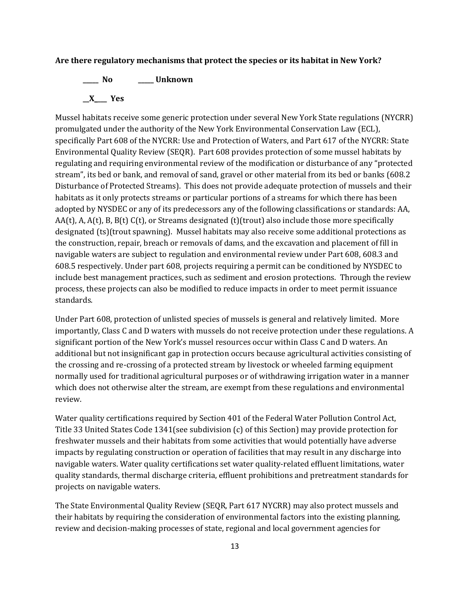#### **Are there regulatory mechanisms that protect the species or its habitat in New York?**

**\_\_\_\_\_ No \_\_\_\_\_ Unknown \_\_X\_\_\_\_ Yes** 

Mussel habitats receive some generic protection under several New York State regulations (NYCRR) promulgated under the authority of the New York Environmental Conservation Law (ECL), specifically Part 608 of the NYCRR: Use and Protection of Waters, and Part 617 of the NYCRR: State Environmental Quality Review (SEQR). Part 608 provides protection of some mussel habitats by regulating and requiring environmental review of the modification or disturbance of any "protected stream", its bed or bank, and removal of sand, gravel or other material from its bed or banks (608.2 Disturbance of Protected Streams). This does not provide adequate protection of mussels and their habitats as it only protects streams or particular portions of a streams for which there has been adopted by NYSDEC or any of its predecessors any of the following classifications or standards: AA,  $AA(t)$ , A,  $A(t)$ , B,  $B(t)$  C(t), or Streams designated (t)(trout) also include those more specifically designated (ts)(trout spawning). Mussel habitats may also receive some additional protections as the construction, repair, breach or removals of dams, and the excavation and placement of fill in navigable waters are subject to regulation and environmental review under Part 608, 608.3 and 608.5 respectively. Under part 608, projects requiring a permit can be conditioned by NYSDEC to include best management practices, such as sediment and erosion protections. Through the review process, these projects can also be modified to reduce impacts in order to meet permit issuance standards.

Under Part 608, protection of unlisted species of mussels is general and relatively limited. More importantly, Class C and D waters with mussels do not receive protection under these regulations. A significant portion of the New York's mussel resources occur within Class C and D waters. An additional but not insignificant gap in protection occurs because agricultural activities consisting of the crossing and re-crossing of a protected stream by livestock or wheeled farming equipment normally used for traditional agricultural purposes or of withdrawing irrigation water in a manner which does not otherwise alter the stream, are exempt from these regulations and environmental review.

Water quality certifications required by Section 401 of the Federal Water Pollution Control Act, Title 33 United States Code 1341(see subdivision (c) of this Section) may provide protection for freshwater mussels and their habitats from some activities that would potentially have adverse impacts by regulating construction or operation of facilities that may result in any discharge into navigable waters. Water quality certifications set water quality-related effluent limitations, water quality standards, thermal discharge criteria, effluent prohibitions and pretreatment standards for projects on navigable waters.

The State Environmental Quality Review (SEQR, Part 617 NYCRR) may also protect mussels and their habitats by requiring the consideration of environmental factors into the existing planning, review and decision-making processes of state, regional and local government agencies for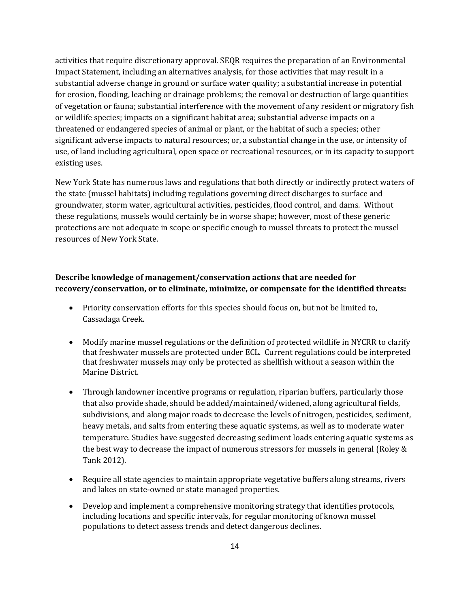activities that require discretionary approval. SEQR requires the preparation of an Environmental Impact Statement, including an alternatives analysis, for those activities that may result in a substantial adverse change in ground or surface water quality; a substantial increase in potential for erosion, flooding, leaching or drainage problems; the removal or destruction of large quantities of vegetation or fauna; substantial interference with the movement of any resident or migratory fish or wildlife species; impacts on a significant habitat area; substantial adverse impacts on a threatened or endangered species of animal or plant, or the habitat of such a species; other significant adverse impacts to natural resources; or, a substantial change in the use, or intensity of use, of land including agricultural, open space or recreational resources, or in its capacity to support existing uses.

New York State has numerous laws and regulations that both directly or indirectly protect waters of the state (mussel habitats) including regulations governing direct discharges to surface and groundwater, storm water, agricultural activities, pesticides, flood control, and dams. Without these regulations, mussels would certainly be in worse shape; however, most of these generic protections are not adequate in scope or specific enough to mussel threats to protect the mussel resources of New York State.

# **Describe knowledge of management/conservation actions that are needed for recovery/conservation, or to eliminate, minimize, or compensate for the identified threats:**

- Priority conservation efforts for this species should focus on, but not be limited to, Cassadaga Creek.
- Modify marine mussel regulations or the definition of protected wildlife in NYCRR to clarify that freshwater mussels are protected under ECL. Current regulations could be interpreted that freshwater mussels may only be protected as shellfish without a season within the Marine District.
- Through landowner incentive programs or regulation, riparian buffers, particularly those that also provide shade, should be added/maintained/widened, along agricultural fields, subdivisions, and along major roads to decrease the levels of nitrogen, pesticides, sediment, heavy metals, and salts from entering these aquatic systems, as well as to moderate water temperature. Studies have suggested decreasing sediment loads entering aquatic systems as the best way to decrease the impact of numerous stressors for mussels in general (Roley & Tank 2012).
- Require all state agencies to maintain appropriate vegetative buffers along streams, rivers and lakes on state-owned or state managed properties.
- Develop and implement a comprehensive monitoring strategy that identifies protocols, including locations and specific intervals, for regular monitoring of known mussel populations to detect assess trends and detect dangerous declines.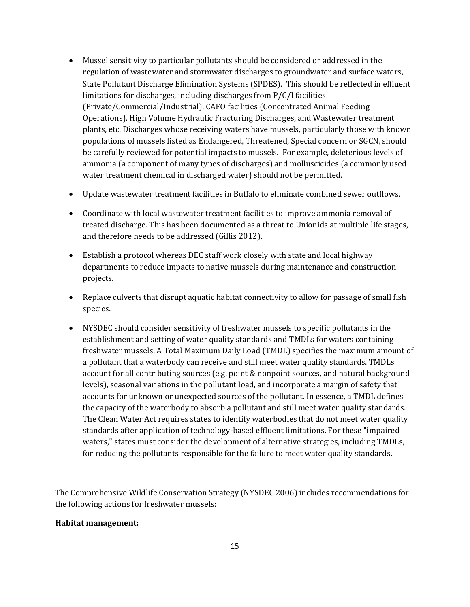- Mussel sensitivity to particular pollutants should be considered or addressed in the regulation of wastewater and stormwater discharges to groundwater and surface waters, State Pollutant Discharge Elimination Systems (SPDES). This should be reflected in effluent limitations for discharges, including discharges from P/C/I facilities (Private/Commercial/Industrial), CAFO facilities (Concentrated Animal Feeding Operations), High Volume Hydraulic Fracturing Discharges, and Wastewater treatment plants, etc. Discharges whose receiving waters have mussels, particularly those with known populations of mussels listed as Endangered, Threatened, Special concern or SGCN, should be carefully reviewed for potential impacts to mussels. For example, deleterious levels of ammonia (a component of many types of discharges) and molluscicides (a commonly used water treatment chemical in discharged water) should not be permitted.
- Update wastewater treatment facilities in Buffalo to eliminate combined sewer outflows.
- Coordinate with local wastewater treatment facilities to improve ammonia removal of treated discharge. This has been documented as a threat to Unionids at multiple life stages, and therefore needs to be addressed (Gillis 2012).
- Establish a protocol whereas DEC staff work closely with state and local highway departments to reduce impacts to native mussels during maintenance and construction projects.
- Replace culverts that disrupt aquatic habitat connectivity to allow for passage of small fish species.
- NYSDEC should consider sensitivity of freshwater mussels to specific pollutants in the establishment and setting of water quality standards and TMDLs for waters containing freshwater mussels. A Total Maximum Daily Load (TMDL) specifies the maximum amount of a pollutant that a waterbody can receive and still meet water quality standards. TMDLs account for all contributing sources (e.g. point & nonpoint sources, and natural background levels), seasonal variations in the pollutant load, and incorporate a margin of safety that accounts for unknown or unexpected sources of the pollutant. In essence, a TMDL defines the capacity of the waterbody to absorb a pollutant and still meet water quality standards. The Clean Water Act requires states to identify waterbodies that do not meet water quality standards after application of technology-based effluent limitations. For these "impaired waters," states must consider the development of alternative strategies, including TMDLs, for reducing the pollutants responsible for the failure to meet water quality standards.

The Comprehensive Wildlife Conservation Strategy (NYSDEC 2006) includes recommendations for the following actions for freshwater mussels:

#### **Habitat management:**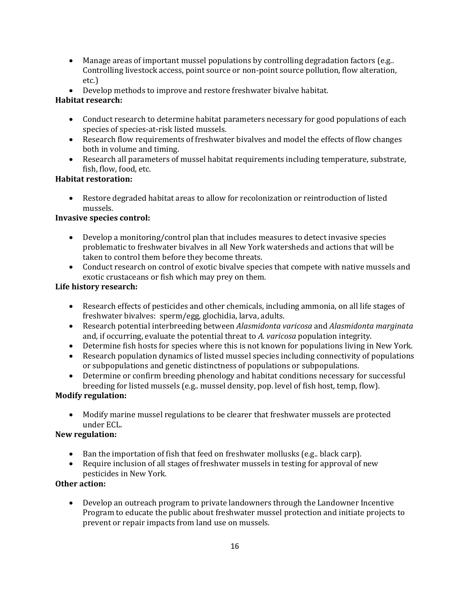- Manage areas of important mussel populations by controlling degradation factors (e.g..) Controlling livestock access, point source or non-point source pollution, flow alteration, etc.)
- Develop methods to improve and restore freshwater bivalve habitat.

# **Habitat research:**

- Conduct research to determine habitat parameters necessary for good populations of each species of species-at-risk listed mussels.
- Research flow requirements of freshwater bivalves and model the effects of flow changes both in volume and timing.
- Research all parameters of mussel habitat requirements including temperature, substrate, fish, flow, food, etc.

# **Habitat restoration:**

• Restore degraded habitat areas to allow for recolonization or reintroduction of listed mussels.

# **Invasive species control:**

- Develop a monitoring/control plan that includes measures to detect invasive species problematic to freshwater bivalves in all New York watersheds and actions that will be taken to control them before they become threats.
- Conduct research on control of exotic bivalve species that compete with native mussels and exotic crustaceans or fish which may prey on them.

# **Life history research:**

- Research effects of pesticides and other chemicals, including ammonia, on all life stages of freshwater bivalves: sperm/egg, glochidia, larva, adults.
- Research potential interbreeding between *Alasmidonta varicosa* and *Alasmidonta marginata* and, if occurring, evaluate the potential threat to *A. varicosa* population integrity.
- Determine fish hosts for species where this is not known for populations living in New York.
- Research population dynamics of listed mussel species including connectivity of populations or subpopulations and genetic distinctness of populations or subpopulations.
- Determine or confirm breeding phenology and habitat conditions necessary for successful breeding for listed mussels (e.g.. mussel density, pop. level of fish host, temp, flow).

# **Modify regulation:**

• Modify marine mussel regulations to be clearer that freshwater mussels are protected under ECL.

# **New regulation:**

- Ban the importation of fish that feed on freshwater mollusks (e.g.. black carp).
- Require inclusion of all stages of freshwater mussels in testing for approval of new pesticides in New York*.*

# **Other action:**

• Develop an outreach program to private landowners through the Landowner Incentive Program to educate the public about freshwater mussel protection and initiate projects to prevent or repair impacts from land use on mussels.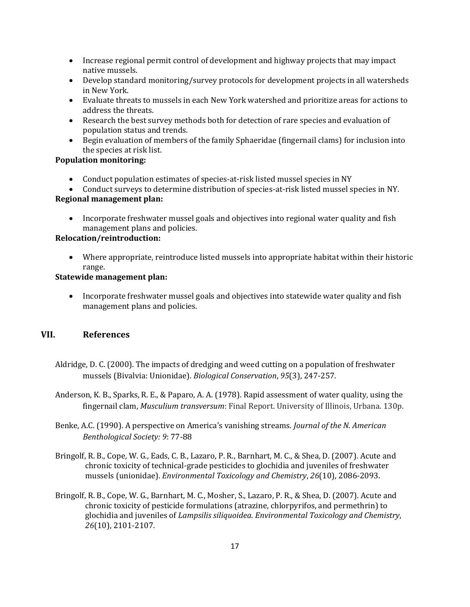- Increase regional permit control of development and highway projects that may impact native mussels.
- Develop standard monitoring/survey protocols for development projects in all watersheds in New York.
- Evaluate threats to mussels in each New York watershed and prioritize areas for actions to address the threats.
- Research the best survey methods both for detection of rare species and evaluation of population status and trends.
- Begin evaluation of members of the family Sphaeridae (fingernail clams) for inclusion into the species at risk list.

# **Population monitoring:**

- Conduct population estimates of species-at-risk listed mussel species in NY
- Conduct surveys to determine distribution of species-at-risk listed mussel species in NY.

# **Regional management plan:**

• Incorporate freshwater mussel goals and objectives into regional water quality and fish management plans and policies.

# **Relocation/reintroduction:**

• Where appropriate, reintroduce listed mussels into appropriate habitat within their historic range.

# **Statewide management plan:**

• Incorporate freshwater mussel goals and objectives into statewide water quality and fish management plans and policies.

# **VII. References**

- Aldridge, D. C. (2000). The impacts of dredging and weed cutting on a population of freshwater mussels (Bivalvia: Unionidae). *Biological Conservation*, *95*(3), 247-257.
- Anderson, K. B., Sparks, R. E., & Paparo, A. A. (1978). Rapid assessment of water quality, using the fingernail clam, *Musculium transversum*: Final Report. University of Illinois, Urbana. 130p.
- Benke, A.C. (1990). A perspective on America's vanishing streams. *Journal of the N. American Benthological Society: 9*: 77-88
- Bringolf, R. B., Cope, W. G., Eads, C. B., Lazaro, P. R., Barnhart, M. C., & Shea, D. (2007). Acute and chronic toxicity of technical‐grade pesticides to glochidia and juveniles of freshwater mussels (unionidae). *Environmental Toxicology and Chemistry*, *26*(10), 2086-2093.
- Bringolf, R. B., Cope, W. G., Barnhart, M. C., Mosher, S., Lazaro, P. R., & Shea, D. (2007). Acute and chronic toxicity of pesticide formulations (atrazine, chlorpyrifos, and permethrin) to glochidia and juveniles of *Lampsilis siliquoidea*. *Environmental Toxicology and Chemistry*, *26*(10), 2101-2107.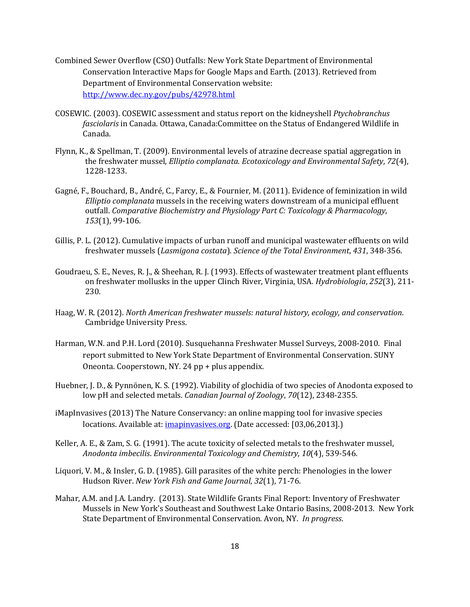- Combined Sewer Overflow (CSO) Outfalls: New York State Department of Environmental Conservation Interactive Maps for Google Maps and Earth. (2013). Retrieved from Department of Environmental Conservation website: <http://www.dec.ny.gov/pubs/42978.html>
- COSEWIC. (2003). COSEWIC assessment and status report on the kidneyshell *Ptychobranchus fasciolaris* in Canada. Ottawa, Canada:Committee on the Status of Endangered Wildlife in Canada.
- Flynn, K., & Spellman, T. (2009). Environmental levels of atrazine decrease spatial aggregation in the freshwater mussel, *Elliptio complanata*. *Ecotoxicology and Environmental Safety*, *72*(4), 1228-1233.
- Gagné, F., Bouchard, B., André, C., Farcy, E., & Fournier, M. (2011). Evidence of feminization in wild *Elliptio complanata* mussels in the receiving waters downstream of a municipal effluent outfall. *Comparative Biochemistry and Physiology Part C: Toxicology & Pharmacology*, *153*(1), 99-106.
- Gillis, P. L. (2012). Cumulative impacts of urban runoff and municipal wastewater effluents on wild freshwater mussels (*Lasmigona costata*). *Science of the Total Environment*, *431*, 348-356.
- Goudraeu, S. E., Neves, R. J., & Sheehan, R. J. (1993). Effects of wastewater treatment plant effluents on freshwater mollusks in the upper Clinch River, Virginia, USA. *Hydrobiologia*, *252*(3), 211- 230.
- Haag, W. R. (2012). *North American freshwater mussels: natural history, ecology, and conservation*. Cambridge University Press.
- Harman, W.N. and P.H. Lord (2010). Susquehanna Freshwater Mussel Surveys, 2008-2010. Final report submitted to New York State Department of Environmental Conservation. SUNY Oneonta. Cooperstown, NY. 24 pp + plus appendix.
- Huebner, J. D., & Pynnönen, K. S. (1992). Viability of glochidia of two species of Anodonta exposed to low pH and selected metals. *Canadian Journal of Zoology*, *70*(12), 2348-2355.
- iMapInvasives (2013) The Nature Conservancy: an online mapping tool for invasive species locations. Available at: *imapinvasives.org*. (Date accessed: [03,06,2013].)
- Keller, A. E., & Zam, S. G. (1991). The acute toxicity of selected metals to the freshwater mussel, *Anodonta imbecilis*. *Environmental Toxicology and Chemistry*, *10*(4), 539-546.
- Liquori, V. M., & Insler, G. D. (1985). Gill parasites of the white perch: Phenologies in the lower Hudson River. *New York Fish and Game Journal*, *32*(1), 71-76.
- Mahar, A.M. and J.A. Landry. (2013). State Wildlife Grants Final Report: Inventory of Freshwater Mussels in New York's Southeast and Southwest Lake Ontario Basins, 2008-2013. New York State Department of Environmental Conservation. Avon, NY. *In progress*.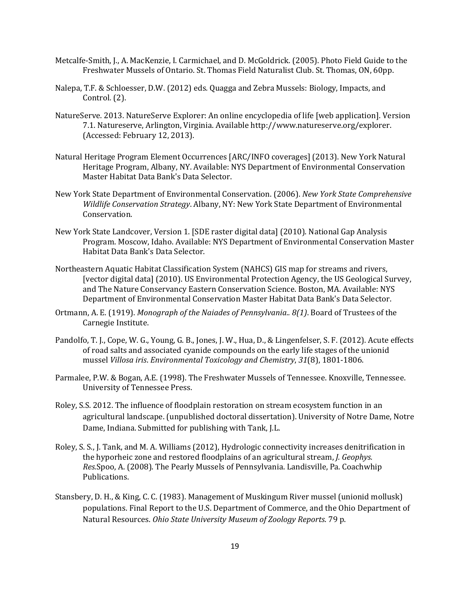- Metcalfe-Smith, J., A. MacKenzie, I. Carmichael, and D. McGoldrick. (2005). Photo Field Guide to the Freshwater Mussels of Ontario. St. Thomas Field Naturalist Club. St. Thomas, ON, 60pp.
- Nalepa, T.F. & Schloesser, D.W. (2012) eds*.* Quagga and Zebra Mussels: Biology, Impacts, and Control*.* (2).
- NatureServe. 2013. NatureServe Explorer: An online encyclopedia of life [web application]. Version 7.1. Natureserve, Arlington, Virginia. Available http://www.natureserve.org/explorer. (Accessed: February 12, 2013).
- Natural Heritage Program Element Occurrences [ARC/INFO coverages] (2013). New York Natural Heritage Program, Albany, NY. Available: NYS Department of Environmental Conservation Master Habitat Data Bank's Data Selector.
- New York State Department of Environmental Conservation. (2006). *New York State Comprehensive Wildlife Conservation Strategy*. Albany, NY: New York State Department of Environmental Conservation.
- New York State Landcover, Version 1. [SDE raster digital data] (2010). National Gap Analysis Program. Moscow, Idaho. Available: NYS Department of Environmental Conservation Master Habitat Data Bank's Data Selector.
- Northeastern Aquatic Habitat Classification System (NAHCS) GIS map for streams and rivers, [vector digital data] (2010). US Environmental Protection Agency, the US Geological Survey, and The Nature Conservancy Eastern Conservation Science. Boston, MA. Available: NYS Department of Environmental Conservation Master Habitat Data Bank's Data Selector.
- Ortmann, A. E. (1919). *Monograph of the Naiades of Pennsylvania.. 8(1)*. Board of Trustees of the Carnegie Institute.
- Pandolfo, T. J., Cope, W. G., Young, G. B., Jones, J. W., Hua, D., & Lingenfelser, S. F. (2012). Acute effects of road salts and associated cyanide compounds on the early life stages of the unionid mussel *Villosa iris*. *Environmental Toxicology and Chemistry*, *31*(8), 1801-1806.
- Parmalee, P.W. & Bogan, A.E. (1998). The Freshwater Mussels of Tennessee. Knoxville, Tennessee. University of Tennessee Press.
- Roley, S.S. 2012. The influence of floodplain restoration on stream ecosystem function in an agricultural landscape. (unpublished doctoral dissertation). University of Notre Dame, Notre Dame, Indiana. Submitted for publishing with Tank, J.L.
- Roley, S. S., J. Tank, and M. A. Williams (2012), Hydrologic connectivity increases denitrification in the hyporheic zone and restored floodplains of an agricultural stream, *J. Geophys. Res.*Spoo, A. (2008). The Pearly Mussels of Pennsylvania. Landisville, Pa. Coachwhip Publications.
- Stansbery, D. H., & King, C. C. (1983). Management of Muskingum River mussel (unionid mollusk) populations. Final Report to the U.S. Department of Commerce, and the Ohio Department of Natural Resources. *Ohio State University Museum of Zoology Reports*. 79 p.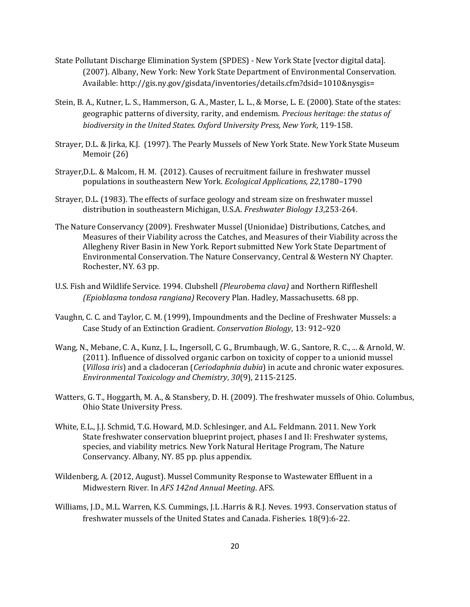- State Pollutant Discharge Elimination System (SPDES) New York State [vector digital data]. (2007). Albany, New York: New York State Department of Environmental Conservation. Available: http://gis.ny.gov/gisdata/inventories/details.cfm?dsid=1010&nysgis=
- Stein, B. A., Kutner, L. S., Hammerson, G. A., Master, L. L., & Morse, L. E. (2000). State of the states: geographic patterns of diversity, rarity, and endemism. *Precious heritage: the status of biodiversity in the United States. Oxford University Press, New York*, 119-158.
- Strayer, D.L. & Jirka, K.J. (1997). The Pearly Mussels of New York State. New York State Museum Memoir (26)
- Strayer,D.L. & Malcom, H. M. (2012). Causes of recruitment failure in freshwater mussel populations in southeastern New York. *Ecological Applications, 22*,1780–1790
- Strayer, D.L. (1983). The effects of surface geology and stream size on freshwater mussel distribution in southeastern Michigan, U.S.A. *Freshwater Biology 13*,253-264.
- The Nature Conservancy (2009). Freshwater Mussel (Unionidae) Distributions, Catches, and Measures of their Viability across the Catches, and Measures of their Viability across the Allegheny River Basin in New York. Report submitted New York State Department of Environmental Conservation. The Nature Conservancy, Central & Western NY Chapter. Rochester, NY. 63 pp.
- U.S. Fish and Wildlife Service. 1994. Clubshell *(Pleurobema clava)* and Northern Riffleshell *(Epioblasma tondosa rangiana)* Recovery Plan. Hadley, Massachusetts. 68 pp.
- Vaughn, C. C. and Taylor, C. M. (1999), Impoundments and the Decline of Freshwater Mussels: a Case Study of an Extinction Gradient. *Conservation Biology*, 13: 912–920
- Wang, N., Mebane, C. A., Kunz, J. L., Ingersoll, C. G., Brumbaugh, W. G., Santore, R. C., ... & Arnold, W. (2011). Influence of dissolved organic carbon on toxicity of copper to a unionid mussel (*Villosa iris*) and a cladoceran (*Ceriodaphnia dubia*) in acute and chronic water exposures. *Environmental Toxicology and Chemistry*, *30*(9), 2115-2125.
- Watters, G. T., Hoggarth, M. A., & Stansbery, D. H. (2009). The freshwater mussels of Ohio. Columbus, Ohio State University Press.
- White, E.L., J.J. Schmid, T.G. Howard, M.D. Schlesinger, and A.L. Feldmann. 2011. New York State freshwater conservation blueprint project, phases I and II: Freshwater systems, species, and viability metrics. New York Natural Heritage Program, The Nature Conservancy. Albany, NY. 85 pp. plus appendix.
- Wildenberg, A. (2012, August). Mussel Community Response to Wastewater Effluent in a Midwestern River. In *AFS 142nd Annual Meeting*. AFS.
- Williams, J.D., M.L. Warren, K.S. Cummings, J.L .Harris & R.J. Neves. 1993. Conservation status of freshwater mussels of the United States and Canada. Fisheries. 18(9):6-22.